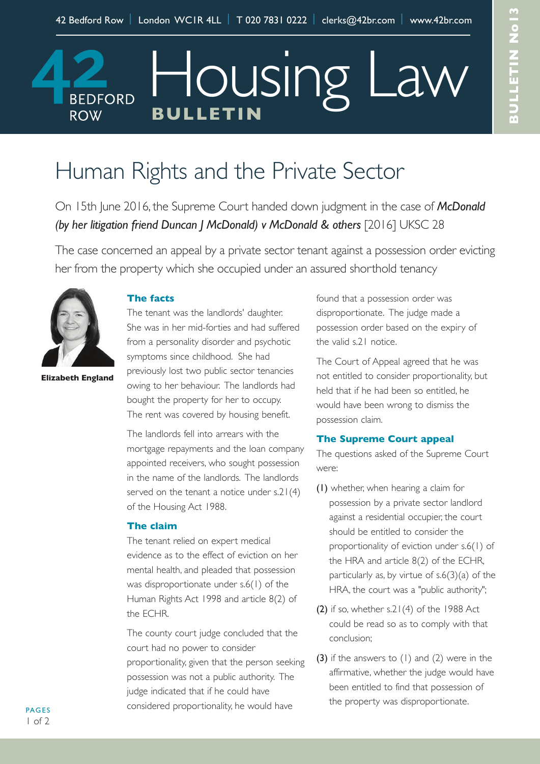# Housing Law **BEDFORD Bulletin ROW**

# Human Rights and the Private Sector

On 15th June 2016, the Supreme Court handed down judgment in the case of *McDonald (by her litigation friend Duncan J McDonald) v McDonald & others* [2016] UKSC 28

The case concerned an appeal by a private sector tenant against a possession order evicting her from the property which she occupied under an assured shorthold tenancy



**elizabeth england**

## **the facts**

The tenant was the landlords' daughter. She was in her mid-forties and had suffered from a personality disorder and psychotic symptoms since childhood. She had previously lost two public sector tenancies owing to her behaviour. The landlords had bought the property for her to occupy. The rent was covered by housing benefit.

The landlords fell into arrears with the mortgage repayments and the loan company appointed receivers, who sought possession in the name of the landlords. The landlords served on the tenant a notice under s.21(4) of the Housing Act 1988.

### **the claim**

The tenant relied on expert medical evidence as to the effect of eviction on her mental health, and pleaded that possession was disproportionate under s.6(1) of the Human Rights Act 1998 and article 8(2) of the ECHR.

The county court judge concluded that the court had no power to consider proportionality, given that the person seeking possession was not a public authority. The judge indicated that if he could have considered proportionality, he would have

found that a possession order was disproportionate. The judge made a possession order based on the expiry of the valid s.21 notice.

The Court of Appeal agreed that he was not entitled to consider proportionality, but held that if he had been so entitled, he would have been wrong to dismiss the possession claim.

### **the Supreme Court appeal**

The questions asked of the Supreme Court were:

- (1) whether, when hearing a claim for possession by a private sector landlord against a residential occupier, the court should be entitled to consider the proportionality of eviction under s.6(1) of the HRA and article 8(2) of the ECHR, particularly as, by virtue of s.6(3)(a) of the HRA, the court was a "public authority";
- (2) if so, whether  $s.21(4)$  of the 1988 Act could be read so as to comply with that conclusion;
- (3) if the answers to (1) and (2) were in the affirmative, whether the judge would have been entitled to find that possession of the property was disproportionate.